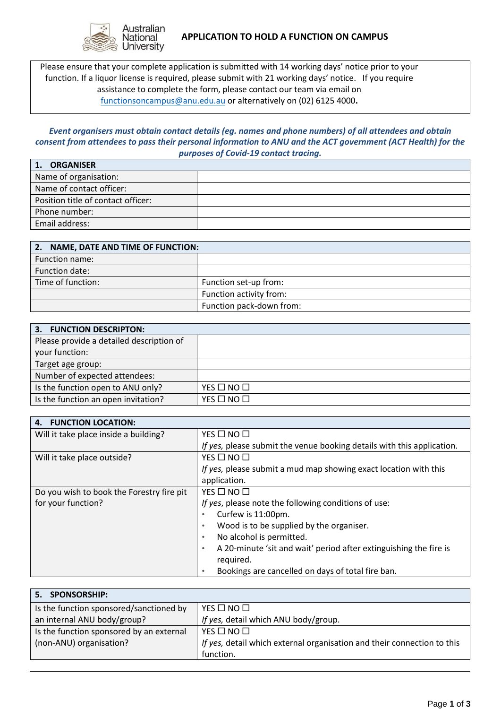

Please ensure that your complete application is submitted with 14 working days' notice prior to your function. If a liquor license is required, please submit with 21 working days' notice. If you require assistance to complete the form, please contact our team via email on [functionsoncampus@anu.edu.au](mailto:functionsoncampus@anu.edu.au) or alternatively on (02) 6125 4000**.**

## *Event organisers must obtain contact details (eg. names and phone numbers) of all attendees and obtain consent from attendees to pass their personal information to ANU and the ACT government (ACT Health) for the purposes of Covid-19 contact tracing.*

| <b>ORGANISER</b>                   |  |
|------------------------------------|--|
| Name of organisation:              |  |
| Name of contact officer:           |  |
| Position title of contact officer: |  |
| Phone number:                      |  |
| Email address:                     |  |

| 2. NAME, DATE AND TIME OF FUNCTION: |                          |
|-------------------------------------|--------------------------|
| Function name:                      |                          |
| Function date:                      |                          |
| Time of function:                   | Function set-up from:    |
|                                     | Function activity from:  |
|                                     | Function pack-down from: |

| 3. FUNCTION DESCRIPTON:                  |                    |
|------------------------------------------|--------------------|
| Please provide a detailed description of |                    |
| your function:                           |                    |
| Target age group:                        |                    |
| Number of expected attendees:            |                    |
| Is the function open to ANU only?        | $YES \Box NO \Box$ |
| Is the function an open invitation?      | $YES \Box NO \Box$ |

| <b>FUNCTION LOCATION:</b><br>4.           |                                                                                |
|-------------------------------------------|--------------------------------------------------------------------------------|
| Will it take place inside a building?     | $YES \Box NO \Box$                                                             |
|                                           | If yes, please submit the venue booking details with this application.         |
| Will it take place outside?               | YES □ NO □                                                                     |
|                                           | If yes, please submit a mud map showing exact location with this               |
|                                           | application.                                                                   |
| Do you wish to book the Forestry fire pit | $YES$ $\Box$ $NO$ $\Box$                                                       |
| for your function?                        | If yes, please note the following conditions of use:                           |
|                                           | Curfew is 11:00pm.<br>$\bullet$                                                |
|                                           | Wood is to be supplied by the organiser.<br>$\bullet$                          |
|                                           | No alcohol is permitted.<br>$\bullet$                                          |
|                                           | A 20-minute 'sit and wait' period after extinguishing the fire is<br>$\bullet$ |
|                                           | required.                                                                      |
|                                           | Bookings are cancelled on days of total fire ban.                              |

| 5. SPONSORSHIP:                          |                                                                         |
|------------------------------------------|-------------------------------------------------------------------------|
| Is the function sponsored/sanctioned by  | $YES \Box NO \Box$                                                      |
| an internal ANU body/group?              | If yes, detail which ANU body/group.                                    |
| Is the function sponsored by an external | $YES \Box NO \Box$                                                      |
| (non-ANU) organisation?                  | If yes, detail which external organisation and their connection to this |
|                                          | function.                                                               |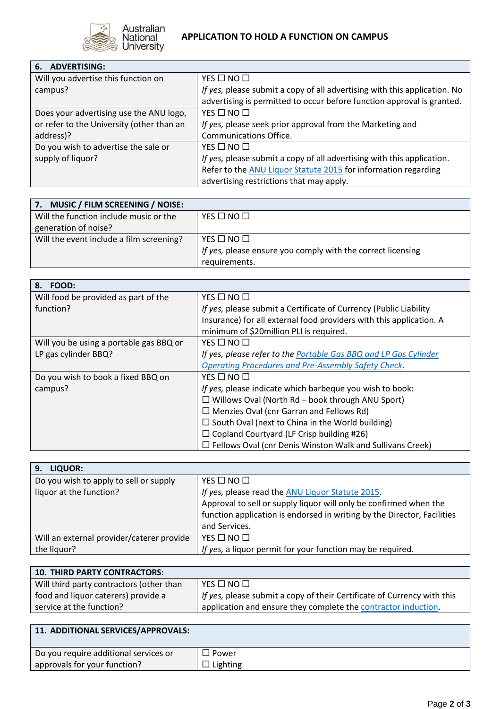

| 6. ADVERTISING:                           |                                                                                                                                                     |
|-------------------------------------------|-----------------------------------------------------------------------------------------------------------------------------------------------------|
| Will you advertise this function on       | $YES \Box NO \Box$                                                                                                                                  |
| campus?                                   | If yes, please submit a copy of all advertising with this application. No<br>advertising is permitted to occur before function approval is granted. |
| Does your advertising use the ANU logo,   | $YES \Box NO \Box$                                                                                                                                  |
| or refer to the University (other than an | If yes, please seek prior approval from the Marketing and                                                                                           |
| address)?                                 | Communications Office.                                                                                                                              |
| Do you wish to advertise the sale or      | $YES \Box NO \Box$                                                                                                                                  |
| supply of liquor?                         | If yes, please submit a copy of all advertising with this application.                                                                              |
|                                           | Refer to the ANU Liquor Statute 2015 for information regarding                                                                                      |
|                                           | advertising restrictions that may apply.                                                                                                            |

| 7. MUSIC / FILM SCREENING / NOISE:       |                                                             |
|------------------------------------------|-------------------------------------------------------------|
| Will the function include music or the   | $YES$ $\Box$ $NO$ $\Box$                                    |
| generation of noise?                     |                                                             |
| Will the event include a film screening? | $YES$ $\Box$ $NO$ $\Box$                                    |
|                                          | If yes, please ensure you comply with the correct licensing |
|                                          | requirements.                                               |

| 8. FOOD:                                |                                                                     |
|-----------------------------------------|---------------------------------------------------------------------|
| Will food be provided as part of the    | YES □ NO □                                                          |
| function?                               | If yes, please submit a Certificate of Currency (Public Liability   |
|                                         | Insurance) for all external food providers with this application. A |
|                                         | minimum of \$20million PLI is required.                             |
| Will you be using a portable gas BBQ or | $YES \Box NO \Box$                                                  |
| LP gas cylinder BBQ?                    | If yes, please refer to the Portable Gas BBQ and LP Gas Cylinder    |
|                                         | <b>Operating Procedures and Pre-Assembly Safety Check.</b>          |
| Do you wish to book a fixed BBQ on      | YES $\square$ NO $\square$                                          |
| campus?                                 | If yes, please indicate which barbeque you wish to book:            |
|                                         | $\Box$ Willows Oval (North Rd – book through ANU Sport)             |
|                                         | $\Box$ Menzies Oval (cnr Garran and Fellows Rd)                     |
|                                         | $\Box$ South Oval (next to China in the World building)             |
|                                         | $\Box$ Copland Courtyard (LF Crisp building #26)                    |
|                                         | $\Box$ Fellows Oval (cnr Denis Winston Walk and Sullivans Creek)    |

| LIQUOR:<br>9.                             |                                                                         |
|-------------------------------------------|-------------------------------------------------------------------------|
| Do you wish to apply to sell or supply    | $YES \Box NO \Box$                                                      |
| liquor at the function?                   | If yes, please read the ANU Liquor Statute 2015.                        |
|                                           | Approval to sell or supply liquor will only be confirmed when the       |
|                                           | function application is endorsed in writing by the Director, Facilities |
|                                           | and Services.                                                           |
| Will an external provider/caterer provide | $YES \Box NO \Box$                                                      |
| the liquor?                               | If yes, a liquor permit for your function may be required.              |

| <b>10. THIRD PARTY CONTRACTORS:</b>      |                                                                         |
|------------------------------------------|-------------------------------------------------------------------------|
| Will third party contractors (other than | YES $\square$ NO $\square$                                              |
| food and liquor caterers) provide a      | If yes, please submit a copy of their Certificate of Currency with this |
| service at the function?                 | application and ensure they complete the contractor induction.          |

| 11. ADDITIONAL SERVICES/APPROVALS:    |                 |
|---------------------------------------|-----------------|
| Do you require additional services or | コ Power         |
| approvals for your function?          | $\Box$ Lighting |